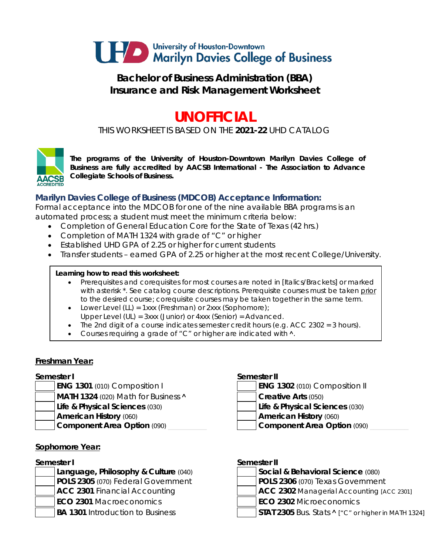

# **Bachelor of Business Administration (BBA) Insurance and Risk Management Worksheet**

# **UNOFFICIAL**

*THIS WORKSHEET IS BASED ON THE 2021-22 UHD CATALOG*



*The programs of the University of Houston-Downtown Marilyn Davies College of Business are fully accredited by AACSB International - The Association to Advance Collegiate Schools of Business.*

# **Marilyn Davies College of Business (MDCOB) Acceptance Information:**

Formal acceptance into the MDCOB for one of the nine available BBA programs is an automated process; a student must meet the minimum criteria below:

- Completion of General Education Core for the State of Texas (42 hrs.)
- Completion of MATH 1324 with grade of "C" or higher
- Established UHD GPA of 2.25 or higher for current students
- Transfer students earned GPA of 2.25 or higher at the most recent College/University.

### **Learning how to read this worksheet:**

- Prerequisites and corequisites for most courses are noted in *[Italics/Brackets]* or marked with asterisk \*. See catalog course descriptions. Prerequisite courses must be taken prior to the desired course; corequisite courses may be taken together in the same term.
- Lower Level (LL) = 1xxx (Freshman) or 2xxx (Sophomore);
- Upper Level (UL) = 3xxx (Junior) or 4xxx (Senior) = Advanced.
- The 2nd digit of a course indicates semester credit hours (e.g.  $ACC$  2302 = 3 hours).
- Courses requiring a grade of "C" or higher are indicated with **˄**.

### **Freshman Year:**

- **ENG 1301** (010) Composition I **MATH 1324** (020) Math for Business **A Creative Arts** (050) **Life & Physical Sciences** (030) **Life & Physical Sciences** (030) **American History** (060) **American History** (060)
	-

### **Sophomore Year:**

### **Semester I**

**POLS 2305** (070) Federal Government **POLS 2306** (070) Texas Government **ECO 2301** Macroeconomics **ECO 2302** Microeconomics

#### **Semester I Semester II**

| <b>ENG 1302</b> (010) Composition II |  |
|--------------------------------------|--|
|--------------------------------------|--|

**Component Area Option** (090) \_\_\_\_\_\_\_\_\_\_ **Component Area Option** (090) \_\_\_\_\_\_\_\_\_\_

| Semester II |  |
|-------------|--|

**Language, Philosophy & Culture** (040) **Social & Behavioral Science** (080)

- 
- **ACC 2301** Financial Accounting **ACC 2302** Managerial Accounting *[ACC 2301]*
	-
- **BA 1301** Introduction to Business **STAT 2305** Bus. Stats **^** ["C" or higher in MATH 1324]